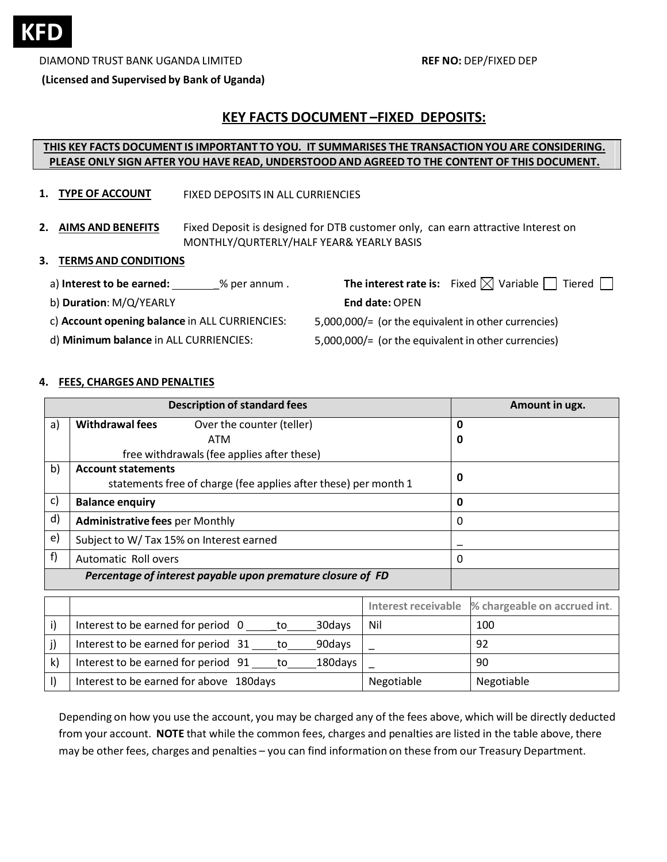

DIAMOND TRUST BANK UGANDA LIMITED **REF NO:** DEP/FIXED DEP

**(Licensed and Supervised by Bank of Uganda)**

# **KEY FACTS DOCUMENT –FIXED DEPOSITS:**

### **THIS KEY FACTS DOCUMENT IS IMPORTANT TO YOU. IT SUMMARISES THE TRANSACTIONYOU ARE CONSIDERING. PLEASE ONLY SIGN AFTER YOU HAVE READ, UNDERSTOODAND AGREED TO THE CONTENT OF THIS DOCUMENT.**

- **1. TYPE OF ACCOUNT** FIXED DEPOSITS IN ALL CURRIENCIES
- **2. AIMS AND BENEFITS** Fixed Deposit is designed for DTB customer only, can earn attractive Interest on MONTHLY/QURTERLY/HALF YEAR& YEARLY BASIS

#### **3. TERMS AND CONDITIONS**

- a) **Interest to be earned:** \_\_\_\_\_\_\_\_% per annum. **The interest rate is:** Fixed  $\boxtimes$  Variable  $\Box$  Tiered  $\Box$ 
	- b) **Duration**: M/Q/YEARLY

**End date:** OPEN

- c) **Account opening balance** in ALL CURRIENCIES:
- 5,000,000/= (or the equivalent in other currencies) 5,000,000/= (or the equivalent in other currencies)
- d) **Minimum balance** in ALL CURRIENCIES:

### **4. FEES, CHARGES AND PENALTIES**

|              | <b>Description of standard fees</b>                             | Amount in ugx. |  |  |
|--------------|-----------------------------------------------------------------|----------------|--|--|
| a)           | <b>Withdrawal fees</b><br>Over the counter (teller)             | 0              |  |  |
|              | ATM                                                             | 0              |  |  |
|              | free withdrawals (fee applies after these)                      |                |  |  |
| $\mathsf{b}$ | <b>Account statements</b>                                       | 0              |  |  |
|              | statements free of charge (fee applies after these) per month 1 |                |  |  |
| c)           | <b>Balance enquiry</b>                                          | 0              |  |  |
| d)           | <b>Administrative fees per Monthly</b>                          | 0              |  |  |
| $\epsilon$   | Subject to W/ Tax 15% on Interest earned                        |                |  |  |
| f)           | Automatic Roll overs                                            | 0              |  |  |
|              | Percentage of interest payable upon premature closure of FD     |                |  |  |

|              |                                                       |            | Interest receivable % chargeable on accrued int. |
|--------------|-------------------------------------------------------|------------|--------------------------------------------------|
| i)           | Interest to be earned for period 0<br>30days<br>to to | Nil        | 100                                              |
|              | Interest to be earned for period 31 to<br>90days      |            | 92                                               |
| $\mathsf{k}$ | Interest to be earned for period 91<br>180days<br>to  |            | 90                                               |
|              | Interest to be earned for above 180days               | Negotiable | Negotiable                                       |

Depending on how you use the account, you may be charged any of the fees above, which will be directly deducted from your account. **NOTE** that while the common fees, charges and penalties are listed in the table above, there may be other fees, charges and penalties – you can find information on these from our Treasury Department.